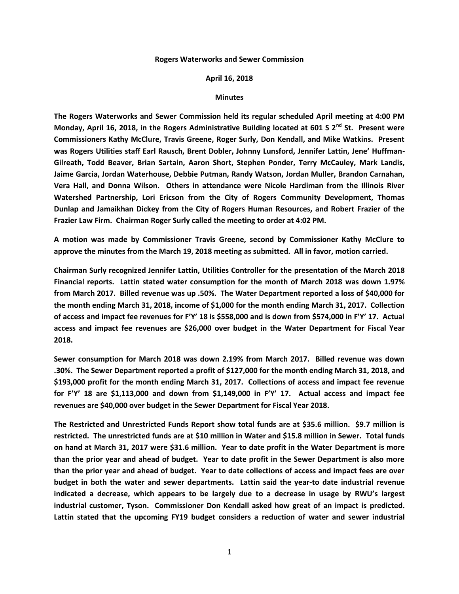## **Rogers Waterworks and Sewer Commission**

## **April 16, 2018**

## **Minutes**

**The Rogers Waterworks and Sewer Commission held its regular scheduled April meeting at 4:00 PM Monday, April 16, 2018, in the Rogers Administrative Building located at 601 S 2nd St. Present were Commissioners Kathy McClure, Travis Greene, Roger Surly, Don Kendall, and Mike Watkins. Present was Rogers Utilities staff Earl Rausch, Brent Dobler, Johnny Lunsford, Jennifer Lattin, Jene' Huffman-Gilreath, Todd Beaver, Brian Sartain, Aaron Short, Stephen Ponder, Terry McCauley, Mark Landis, Jaime Garcia, Jordan Waterhouse, Debbie Putman, Randy Watson, Jordan Muller, Brandon Carnahan, Vera Hall, and Donna Wilson. Others in attendance were Nicole Hardiman from the Illinois River Watershed Partnership, Lori Ericson from the City of Rogers Community Development, Thomas Dunlap and Jamaikhan Dickey from the City of Rogers Human Resources, and Robert Frazier of the Frazier Law Firm. Chairman Roger Surly called the meeting to order at 4:02 PM.**

**A motion was made by Commissioner Travis Greene, second by Commissioner Kathy McClure to approve the minutes from the March 19, 2018 meeting as submitted. All in favor, motion carried.**

**Chairman Surly recognized Jennifer Lattin, Utilities Controller for the presentation of the March 2018 Financial reports. Lattin stated water consumption for the month of March 2018 was down 1.97% from March 2017. Billed revenue was up .50%. The Water Department reported a loss of \$40,000 for the month ending March 31, 2018, income of \$1,000 for the month ending March 31, 2017. Collection of access and impact fee revenues for F'Y' 18 is \$558,000 and is down from \$574,000 in F'Y' 17. Actual access and impact fee revenues are \$26,000 over budget in the Water Department for Fiscal Year 2018.**

**Sewer consumption for March 2018 was down 2.19% from March 2017. Billed revenue was down .30%. The Sewer Department reported a profit of \$127,000 for the month ending March 31, 2018, and \$193,000 profit for the month ending March 31, 2017. Collections of access and impact fee revenue for F'Y' 18 are \$1,113,000 and down from \$1,149,000 in F'Y' 17. Actual access and impact fee revenues are \$40,000 over budget in the Sewer Department for Fiscal Year 2018.**

**The Restricted and Unrestricted Funds Report show total funds are at \$35.6 million. \$9.7 million is restricted. The unrestricted funds are at \$10 million in Water and \$15.8 million in Sewer. Total funds on hand at March 31, 2017 were \$31.6 million. Year to date profit in the Water Department is more than the prior year and ahead of budget. Year to date profit in the Sewer Department is also more than the prior year and ahead of budget. Year to date collections of access and impact fees are over budget in both the water and sewer departments. Lattin said the year-to date industrial revenue indicated a decrease, which appears to be largely due to a decrease in usage by RWU's largest industrial customer, Tyson. Commissioner Don Kendall asked how great of an impact is predicted. Lattin stated that the upcoming FY19 budget considers a reduction of water and sewer industrial**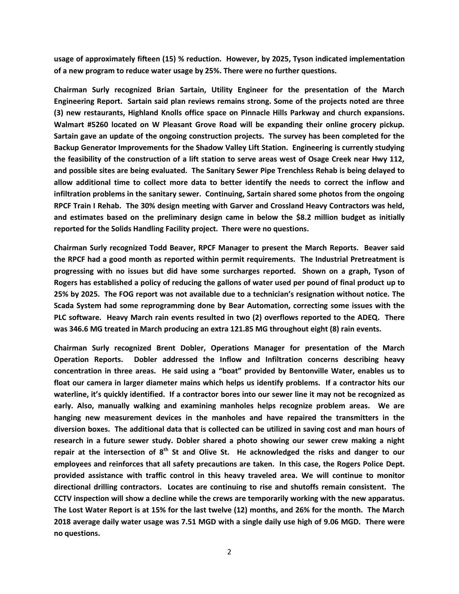**usage of approximately fifteen (15) % reduction. However, by 2025, Tyson indicated implementation of a new program to reduce water usage by 25%. There were no further questions.** 

**Chairman Surly recognized Brian Sartain, Utility Engineer for the presentation of the March Engineering Report. Sartain said plan reviews remains strong. Some of the projects noted are three (3) new restaurants, Highland Knolls office space on Pinnacle Hills Parkway and church expansions. Walmart #5260 located on W Pleasant Grove Road will be expanding their online grocery pickup. Sartain gave an update of the ongoing construction projects. The survey has been completed for the Backup Generator Improvements for the Shadow Valley Lift Station. Engineering is currently studying the feasibility of the construction of a lift station to serve areas west of Osage Creek near Hwy 112, and possible sites are being evaluated. The Sanitary Sewer Pipe Trenchless Rehab is being delayed to allow additional time to collect more data to better identify the needs to correct the inflow and infiltration problems in the sanitary sewer. Continuing, Sartain shared some photos from the ongoing RPCF Train I Rehab. The 30% design meeting with Garver and Crossland Heavy Contractors was held, and estimates based on the preliminary design came in below the \$8.2 million budget as initially reported for the Solids Handling Facility project. There were no questions.**

**Chairman Surly recognized Todd Beaver, RPCF Manager to present the March Reports. Beaver said the RPCF had a good month as reported within permit requirements. The Industrial Pretreatment is progressing with no issues but did have some surcharges reported. Shown on a graph, Tyson of Rogers has established a policy of reducing the gallons of water used per pound of final product up to 25% by 2025. The FOG report was not available due to a technician's resignation without notice. The Scada System had some reprogramming done by Bear Automation, correcting some issues with the PLC software. Heavy March rain events resulted in two (2) overflows reported to the ADEQ. There was 346.6 MG treated in March producing an extra 121.85 MG throughout eight (8) rain events.**

**Chairman Surly recognized Brent Dobler, Operations Manager for presentation of the March Operation Reports. Dobler addressed the Inflow and Infiltration concerns describing heavy concentration in three areas. He said using a "boat" provided by Bentonville Water, enables us to float our camera in larger diameter mains which helps us identify problems. If a contractor hits our waterline, it's quickly identified. If a contractor bores into our sewer line it may not be recognized as early. Also, manually walking and examining manholes helps recognize problem areas. We are hanging new measurement devices in the manholes and have repaired the transmitters in the diversion boxes. The additional data that is collected can be utilized in saving cost and man hours of research in a future sewer study. Dobler shared a photo showing our sewer crew making a night**  repair at the intersection of 8<sup>th</sup> St and Olive St. He acknowledged the risks and danger to our **employees and reinforces that all safety precautions are taken. In this case, the Rogers Police Dept. provided assistance with traffic control in this heavy traveled area. We will continue to monitor directional drilling contractors. Locates are continuing to rise and shutoffs remain consistent. The CCTV inspection will show a decline while the crews are temporarily working with the new apparatus. The Lost Water Report is at 15% for the last twelve (12) months, and 26% for the month. The March 2018 average daily water usage was 7.51 MGD with a single daily use high of 9.06 MGD. There were no questions.**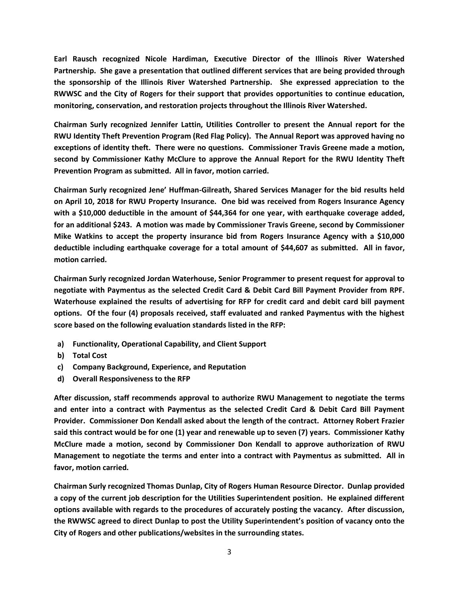**Earl Rausch recognized Nicole Hardiman, Executive Director of the Illinois River Watershed Partnership. She gave a presentation that outlined different services that are being provided through the sponsorship of the Illinois River Watershed Partnership. She expressed appreciation to the RWWSC and the City of Rogers for their support that provides opportunities to continue education, monitoring, conservation, and restoration projects throughout the Illinois River Watershed.**

**Chairman Surly recognized Jennifer Lattin, Utilities Controller to present the Annual report for the RWU Identity Theft Prevention Program (Red Flag Policy). The Annual Report was approved having no exceptions of identity theft. There were no questions. Commissioner Travis Greene made a motion, second by Commissioner Kathy McClure to approve the Annual Report for the RWU Identity Theft Prevention Program as submitted. All in favor, motion carried.**

**Chairman Surly recognized Jene' Huffman-Gilreath, Shared Services Manager for the bid results held on April 10, 2018 for RWU Property Insurance. One bid was received from Rogers Insurance Agency with a \$10,000 deductible in the amount of \$44,364 for one year, with earthquake coverage added, for an additional \$243. A motion was made by Commissioner Travis Greene, second by Commissioner Mike Watkins to accept the property insurance bid from Rogers Insurance Agency with a \$10,000 deductible including earthquake coverage for a total amount of \$44,607 as submitted. All in favor, motion carried.**

**Chairman Surly recognized Jordan Waterhouse, Senior Programmer to present request for approval to negotiate with Paymentus as the selected Credit Card & Debit Card Bill Payment Provider from RPF. Waterhouse explained the results of advertising for RFP for credit card and debit card bill payment options. Of the four (4) proposals received, staff evaluated and ranked Paymentus with the highest score based on the following evaluation standards listed in the RFP:**

- **a) Functionality, Operational Capability, and Client Support**
- **b) Total Cost**
- **c) Company Background, Experience, and Reputation**
- **d) Overall Responsiveness to the RFP**

**After discussion, staff recommends approval to authorize RWU Management to negotiate the terms and enter into a contract with Paymentus as the selected Credit Card & Debit Card Bill Payment Provider. Commissioner Don Kendall asked about the length of the contract. Attorney Robert Frazier said this contract would be for one (1) year and renewable up to seven (7) years. Commissioner Kathy McClure made a motion, second by Commissioner Don Kendall to approve authorization of RWU Management to negotiate the terms and enter into a contract with Paymentus as submitted. All in favor, motion carried.**

**Chairman Surly recognized Thomas Dunlap, City of Rogers Human Resource Director. Dunlap provided a copy of the current job description for the Utilities Superintendent position. He explained different options available with regards to the procedures of accurately posting the vacancy. After discussion, the RWWSC agreed to direct Dunlap to post the Utility Superintendent's position of vacancy onto the City of Rogers and other publications/websites in the surrounding states.**